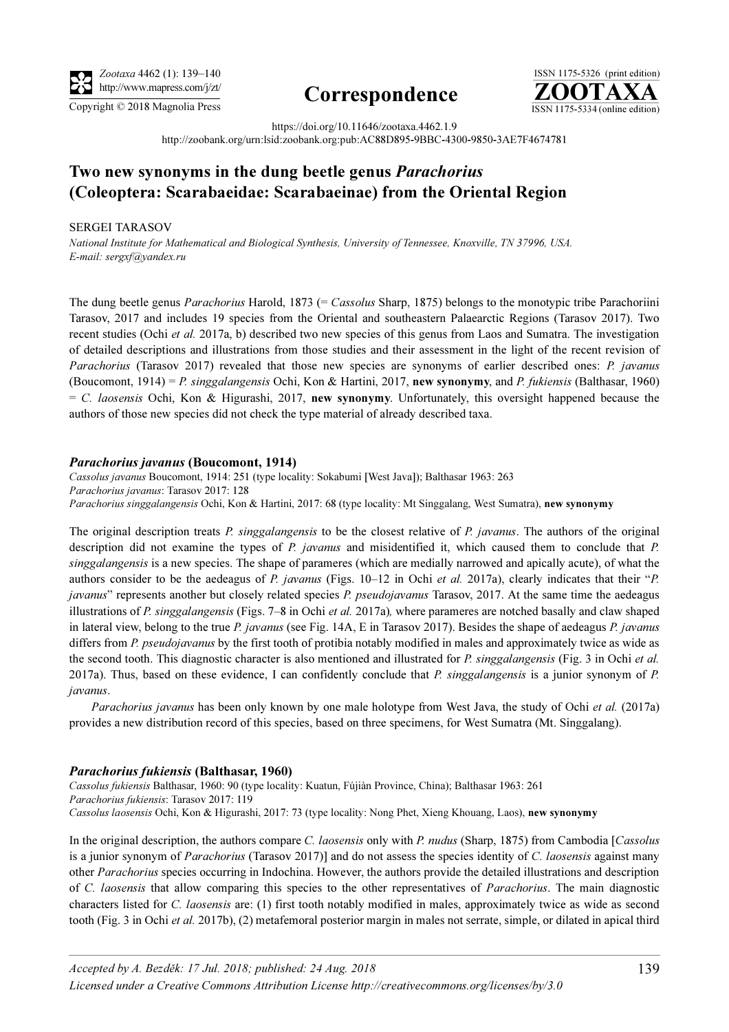

# http://www.mapress.com/j/zt/ Correspondence



https://doi.org/10.11646/zootaxa.4462.1.9 http://zoobank.org/urn:lsid:zoobank.org:pub:AC88D895-9BBC-4300-9850-3AE7F4674781

# Two new synonyms in the dung beetle genus Parachorius (Coleoptera: Scarabaeidae: Scarabaeinae) from the Oriental Region

## SERGEI TARASOV

National Institute for Mathematical and Biological Synthesis, University of Tennessee, Knoxville, TN 37996, USA. E-mail: sergxf@yandex.ru

The dung beetle genus Parachorius Harold, 1873 (= Cassolus Sharp, 1875) belongs to the monotypic tribe Parachoriini Tarasov, 2017 and includes 19 species from the Oriental and southeastern Palaearctic Regions (Tarasov 2017). Two recent studies (Ochi et al. 2017a, b) described two new species of this genus from Laos and Sumatra. The investigation of detailed descriptions and illustrations from those studies and their assessment in the light of the recent revision of Parachorius (Tarasov 2017) revealed that those new species are synonyms of earlier described ones: P. javanus (Boucomont, 1914) = P. singgalangensis Ochi, Kon & Hartini, 2017, new synonymy, and P. fukiensis (Balthasar, 1960)  $= C$ . laosensis Ochi, Kon & Higurashi, 2017, new synonymy. Unfortunately, this oversight happened because the authors of those new species did not check the type material of already described taxa.

# Parachorius javanus (Boucomont, 1914)

Cassolus javanus Boucomont, 1914: 251 (type locality: Sokabumi [West Java]); Balthasar 1963: 263 Parachorius javanus: Tarasov 2017: 128 Parachorius singgalangensis Ochi, Kon & Hartini, 2017: 68 (type locality: Mt Singgalang, West Sumatra), new synonymy

The original description treats P. singgalangensis to be the closest relative of P. javanus. The authors of the original description did not examine the types of P. javanus and misidentified it, which caused them to conclude that P. singgalangensis is a new species. The shape of parameres (which are medially narrowed and apically acute), of what the authors consider to be the aedeagus of P. javanus (Figs.  $10-12$  in Ochi et al. 2017a), clearly indicates that their "P. javanus" represents another but closely related species P. pseudojavanus Tarasov, 2017. At the same time the aedeagus illustrations of P. singgalangensis (Figs.  $7-8$  in Ochi *et al.* 2017a), where parameres are notched basally and claw shaped in lateral view, belong to the true P. javanus (see Fig. 14A, E in Tarasov 2017). Besides the shape of aedeagus P. javanus differs from P. pseudojavanus by the first tooth of protibia notably modified in males and approximately twice as wide as the second tooth. This diagnostic character is also mentioned and illustrated for P. singgalangensis (Fig. 3 in Ochi et al. 2017a). Thus, based on these evidence, I can confidently conclude that P. singgalangensis is a junior synonym of P. javanus.

Parachorius javanus has been only known by one male holotype from West Java, the study of Ochi et al. (2017a) provides a new distribution record of this species, based on three specimens, for West Sumatra (Mt. Singgalang).

#### Parachorius fukiensis (Balthasar, 1960)

Cassolus fukiensis Balthasar, 1960: 90 (type locality: Kuatun, Fújiàn Province, China); Balthasar 1963: 261 Parachorius fukiensis: Tarasov 2017: 119 Cassolus laosensis Ochi, Kon & Higurashi, 2017: 73 (type locality: Nong Phet, Xieng Khouang, Laos), new synonymy

In the original description, the authors compare C. laosensis only with P. nudus (Sharp, 1875) from Cambodia [Cassolus is a junior synonym of *Parachorius* (Tarasov 2017)] and do not assess the species identity of C. *laosensis* against many other Parachorius species occurring in Indochina. However, the authors provide the detailed illustrations and description of C. laosensis that allow comparing this species to the other representatives of Parachorius. The main diagnostic characters listed for C. laosensis are: (1) first tooth notably modified in males, approximately twice as wide as second tooth (Fig. 3 in Ochi et al. 2017b), (2) metafemoral posterior margin in males not serrate, simple, or dilated in apical third